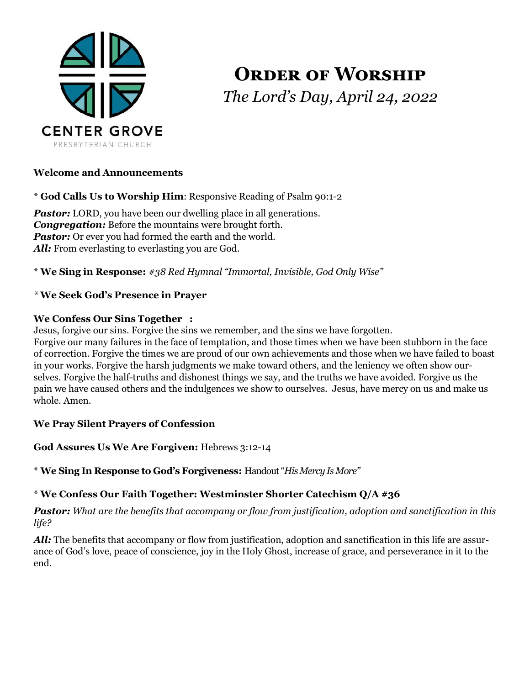

# **ORDER OF WORSHIP** *The Lord's Day, April 24, 2022*

# **Welcome and Announcements**

\* **God Calls Us to Worship Him**: Responsive Reading of Psalm 90:1-2

**Pastor:** LORD, you have been our dwelling place in all generations. *Congregation:* Before the mountains were brought forth. **Pastor:** Or ever you had formed the earth and the world. All: From everlasting to everlasting you are God.

\* **We Sing in Response:** *#38 Red Hymnal "Immortal, Invisible, God Only Wise"*

# *\** **We Seek God's Presence in Prayer**

#### **We Confess Our Sins Together :**

Jesus, forgive our sins. Forgive the sins we remember, and the sins we have forgotten.

Forgive our many failures in the face of temptation, and those times when we have been stubborn in the face of correction. Forgive the times we are proud of our own achievements and those when we have failed to boast in your works. Forgive the harsh judgments we make toward others, and the leniency we often show ourselves. Forgive the half-truths and dishonest things we say, and the truths we have avoided. Forgive us the pain we have caused others and the indulgences we show to ourselves. Jesus, have mercy on us and make us whole. Amen.

# **We Pray Silent Prayers of Confession**

**God Assures Us We Are Forgiven:** Hebrews 3:12-14

\* **We Sing In Response to God's Forgiveness:** Handout "*His Mercy Is More"*

# \* **We Confess Our Faith Together: Westminster Shorter Catechism Q/A #36**

*Pastor: What are the benefits that accompany or flow from justification, adoption and sanctification in this life?*

*All:* The benefits that accompany or flow from justification, adoption and sanctification in this life are assurance of God's love, peace of conscience, joy in the Holy Ghost, increase of grace, and perseverance in it to the end.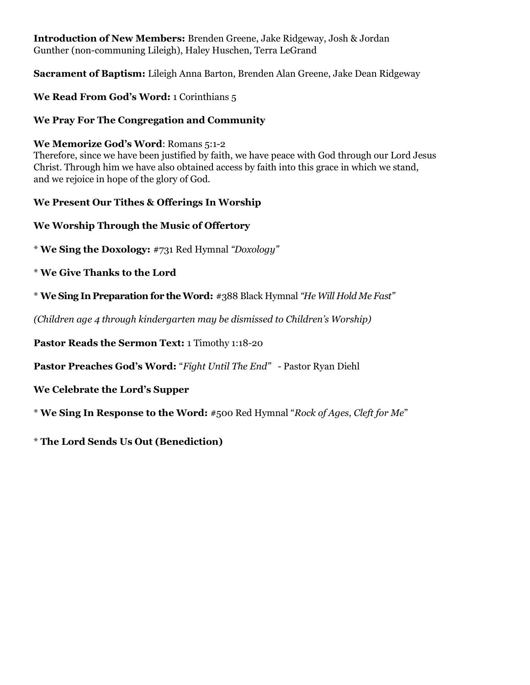# **Introduction of New Members:** Brenden Greene, Jake Ridgeway, Josh & Jordan Gunther (non-communing Lileigh), Haley Huschen, Terra LeGrand

**Sacrament of Baptism:** Lileigh Anna Barton, Brenden Alan Greene, Jake Dean Ridgeway

**We Read From God's Word:** 1 Corinthians 5

#### **We Pray For The Congregation and Community**

**We Memorize God's Word**: Romans 5:1-2

Therefore, since we have been justified by faith, we have peace with God through our Lord Jesus Christ. Through him we have also obtained access by faith into this grace in which we stand, and we rejoice in hope of the glory of God.

#### **We Present Our Tithes & Offerings In Worship**

#### **We Worship Through the Music of Offertory**

- \* **We Sing the Doxology:** #731 Red Hymnal *"Doxology"*
- \* **We Give Thanks to the Lord**
- \* **We Sing In Preparation for the Word:** #388 Black Hymnal *"He Will Hold Me Fast"*

*(Children age 4 through kindergarten may be dismissed to Children's Worship)*

**Pastor Reads the Sermon Text:** 1 Timothy 1:18-20

**Pastor Preaches God's Word:** "*Fight Until The End" -* Pastor Ryan Diehl

**We Celebrate the Lord's Supper** 

\* **We Sing In Response to the Word:** #500 Red Hymnal "*Rock of Ages, Cleft for Me*"

\* **The Lord Sends Us Out (Benediction)**